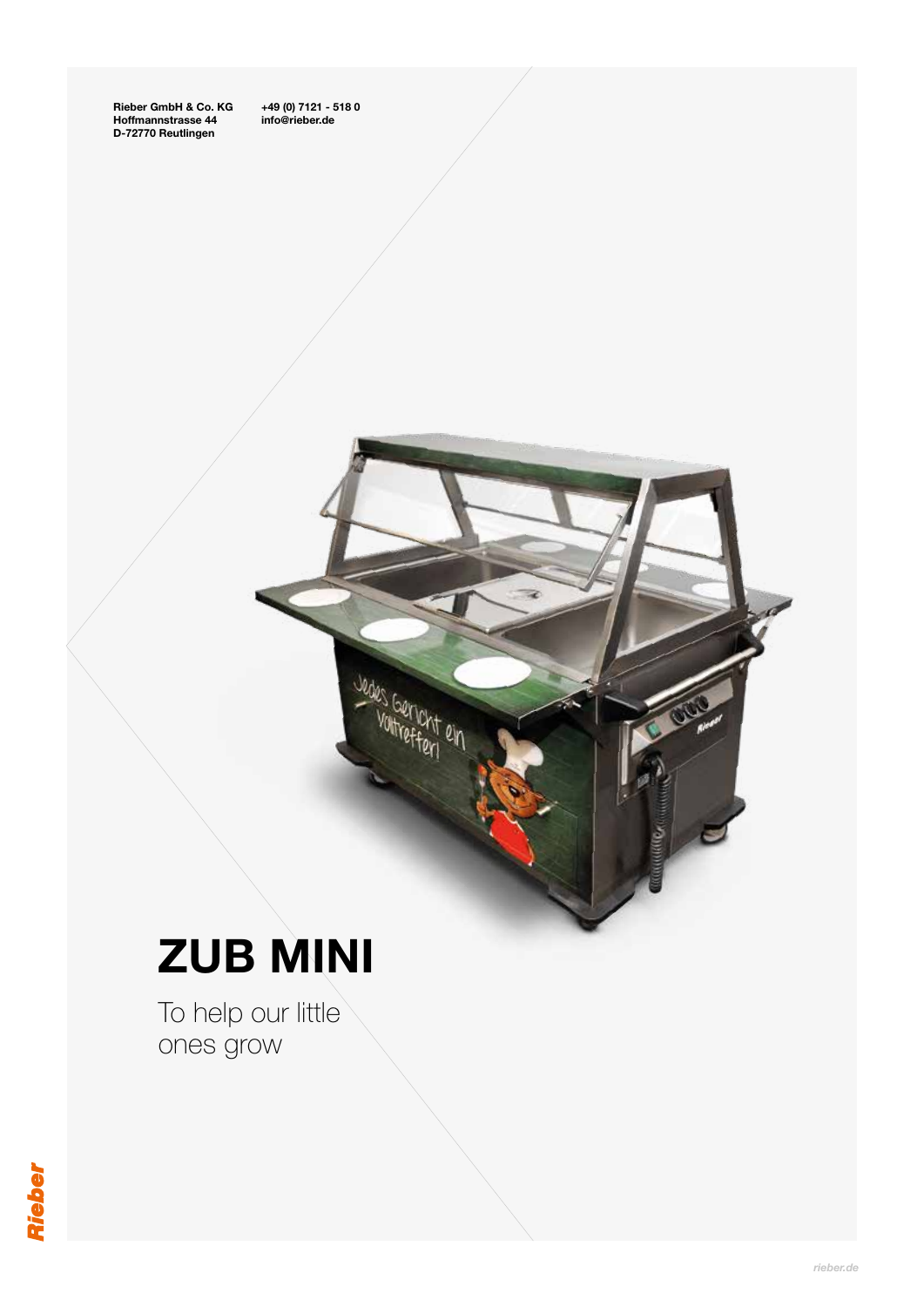

## ZUB MINI

To help our little ones grow